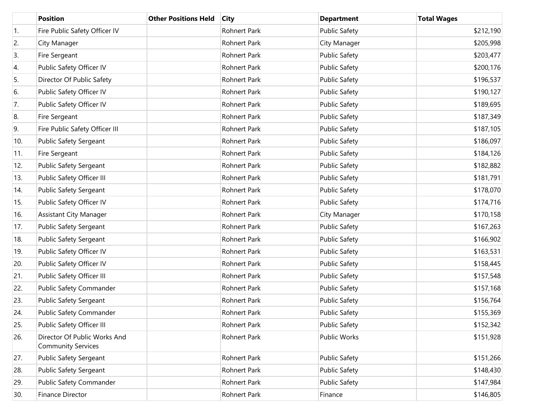|     | <b>Position</b>                                           | <b>Other Positions Held</b> | <b>City</b>         | <b>Department</b>    | <b>Total Wages</b> |
|-----|-----------------------------------------------------------|-----------------------------|---------------------|----------------------|--------------------|
| 1.  | Fire Public Safety Officer IV                             |                             | Rohnert Park        | <b>Public Safety</b> | \$212,190          |
| 2.  | City Manager                                              |                             | Rohnert Park        | City Manager         | \$205,998          |
| 3.  | Fire Sergeant                                             |                             | Rohnert Park        | <b>Public Safety</b> | \$203,477          |
| 4.  | Public Safety Officer IV                                  |                             | Rohnert Park        | <b>Public Safety</b> | \$200,176          |
| 5.  | Director Of Public Safety                                 |                             | Rohnert Park        | <b>Public Safety</b> | \$196,537          |
| 6.  | Public Safety Officer IV                                  |                             | Rohnert Park        | <b>Public Safety</b> | \$190,127          |
| 7.  | Public Safety Officer IV                                  |                             | Rohnert Park        | <b>Public Safety</b> | \$189,695          |
| 8.  | Fire Sergeant                                             |                             | Rohnert Park        | <b>Public Safety</b> | \$187,349          |
| 9.  | Fire Public Safety Officer III                            |                             | Rohnert Park        | <b>Public Safety</b> | \$187,105          |
| 10. | Public Safety Sergeant                                    |                             | Rohnert Park        | <b>Public Safety</b> | \$186,097          |
| 11. | Fire Sergeant                                             |                             | Rohnert Park        | <b>Public Safety</b> | \$184,126          |
| 12. | <b>Public Safety Sergeant</b>                             |                             | <b>Rohnert Park</b> | <b>Public Safety</b> | \$182,882          |
| 13. | Public Safety Officer III                                 |                             | <b>Rohnert Park</b> | <b>Public Safety</b> | \$181,791          |
| 14. | Public Safety Sergeant                                    |                             | Rohnert Park        | <b>Public Safety</b> | \$178,070          |
| 15. | Public Safety Officer IV                                  |                             | Rohnert Park        | <b>Public Safety</b> | \$174,716          |
| 16. | <b>Assistant City Manager</b>                             |                             | Rohnert Park        | City Manager         | \$170,158          |
| 17. | Public Safety Sergeant                                    |                             | Rohnert Park        | <b>Public Safety</b> | \$167,263          |
| 18. | Public Safety Sergeant                                    |                             | Rohnert Park        | <b>Public Safety</b> | \$166,902          |
| 19. | Public Safety Officer IV                                  |                             | Rohnert Park        | <b>Public Safety</b> | \$163,531          |
| 20. | Public Safety Officer IV                                  |                             | Rohnert Park        | <b>Public Safety</b> | \$158,445          |
| 21. | Public Safety Officer III                                 |                             | Rohnert Park        | <b>Public Safety</b> | \$157,548          |
| 22. | Public Safety Commander                                   |                             | Rohnert Park        | <b>Public Safety</b> | \$157,168          |
| 23. | Public Safety Sergeant                                    |                             | Rohnert Park        | <b>Public Safety</b> | \$156,764          |
| 24. | Public Safety Commander                                   |                             | Rohnert Park        | <b>Public Safety</b> | \$155,369          |
| 25. | Public Safety Officer III                                 |                             | Rohnert Park        | <b>Public Safety</b> | \$152,342          |
| 26. | Director Of Public Works And<br><b>Community Services</b> |                             | Rohnert Park        | Public Works         | \$151,928          |
| 27. | Public Safety Sergeant                                    |                             | Rohnert Park        | <b>Public Safety</b> | \$151,266          |
| 28. | Public Safety Sergeant                                    |                             | Rohnert Park        | <b>Public Safety</b> | \$148,430          |
| 29. | Public Safety Commander                                   |                             | Rohnert Park        | <b>Public Safety</b> | \$147,984          |
| 30. | Finance Director                                          |                             | Rohnert Park        | Finance              | \$146,805          |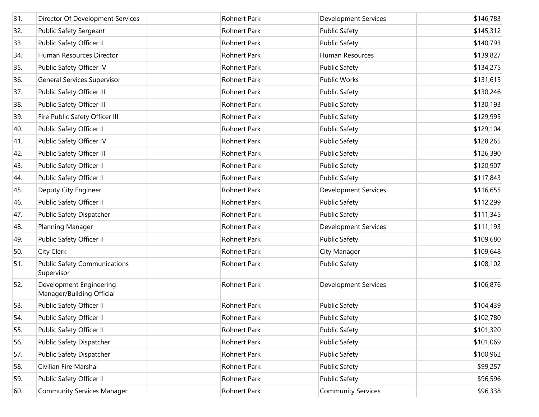| 31. | Director Of Development Services                     | Rohnert Park        | <b>Development Services</b> | \$146,783 |
|-----|------------------------------------------------------|---------------------|-----------------------------|-----------|
| 32. | Public Safety Sergeant                               | Rohnert Park        | <b>Public Safety</b>        | \$145,312 |
| 33. | Public Safety Officer II                             | Rohnert Park        | <b>Public Safety</b>        | \$140,793 |
| 34. | Human Resources Director                             | <b>Rohnert Park</b> | Human Resources             | \$139,827 |
| 35. | Public Safety Officer IV                             | Rohnert Park        | <b>Public Safety</b>        | \$134,275 |
| 36. | <b>General Services Supervisor</b>                   | Rohnert Park        | <b>Public Works</b>         | \$131,615 |
| 37. | Public Safety Officer III                            | Rohnert Park        | <b>Public Safety</b>        | \$130,246 |
| 38. | Public Safety Officer III                            | Rohnert Park        | <b>Public Safety</b>        | \$130,193 |
| 39. | Fire Public Safety Officer III                       | Rohnert Park        | <b>Public Safety</b>        | \$129,995 |
| 40. | Public Safety Officer II                             | Rohnert Park        | <b>Public Safety</b>        | \$129,104 |
| 41. | Public Safety Officer IV                             | Rohnert Park        | <b>Public Safety</b>        | \$128,265 |
| 42. | Public Safety Officer III                            | Rohnert Park        | <b>Public Safety</b>        | \$126,390 |
| 43. | Public Safety Officer II                             | Rohnert Park        | <b>Public Safety</b>        | \$120,907 |
| 44. | Public Safety Officer II                             | Rohnert Park        | <b>Public Safety</b>        | \$117,843 |
| 45. | Deputy City Engineer                                 | Rohnert Park        | <b>Development Services</b> | \$116,655 |
| 46. | Public Safety Officer II                             | Rohnert Park        | <b>Public Safety</b>        | \$112,299 |
| 47. | Public Safety Dispatcher                             | Rohnert Park        | <b>Public Safety</b>        | \$111,345 |
| 48. | Planning Manager                                     | Rohnert Park        | <b>Development Services</b> | \$111,193 |
| 49. | Public Safety Officer II                             | Rohnert Park        | <b>Public Safety</b>        | \$109,680 |
| 50. | City Clerk                                           | Rohnert Park        | City Manager                | \$109,648 |
| 51. | <b>Public Safety Communications</b><br>Supervisor    | Rohnert Park        | <b>Public Safety</b>        | \$108,102 |
| 52. | Development Engineering<br>Manager/Building Official | <b>Rohnert Park</b> | <b>Development Services</b> | \$106,876 |
| 53. | Public Safety Officer II                             | Rohnert Park        | <b>Public Safety</b>        | \$104,439 |
| 54. | Public Safety Officer II                             | Rohnert Park        | <b>Public Safety</b>        | \$102,780 |
| 55. | Public Safety Officer II                             | Rohnert Park        | <b>Public Safety</b>        | \$101,320 |
| 56. | Public Safety Dispatcher                             | Rohnert Park        | <b>Public Safety</b>        | \$101,069 |
| 57. | Public Safety Dispatcher                             | Rohnert Park        | <b>Public Safety</b>        | \$100,962 |
| 58. | Civilian Fire Marshal                                | Rohnert Park        | <b>Public Safety</b>        | \$99,257  |
| 59. | Public Safety Officer II                             | Rohnert Park        | <b>Public Safety</b>        | \$96,596  |
| 60. | <b>Community Services Manager</b>                    | <b>Rohnert Park</b> | <b>Community Services</b>   | \$96,338  |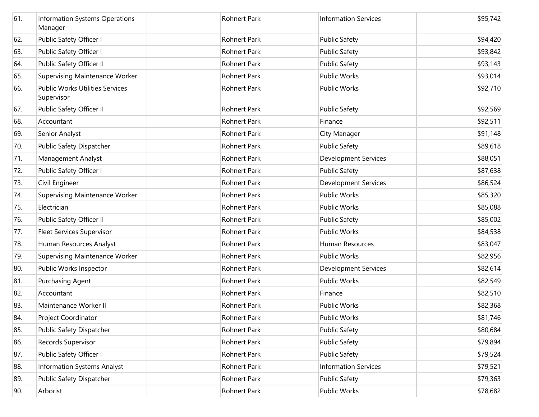| 61. | Information Systems Operations<br>Manager            | <b>Rohnert Park</b> | <b>Information Services</b> | \$95,742 |
|-----|------------------------------------------------------|---------------------|-----------------------------|----------|
| 62. | Public Safety Officer I                              | <b>Rohnert Park</b> | <b>Public Safety</b>        | \$94,420 |
| 63. | Public Safety Officer I                              | Rohnert Park        | <b>Public Safety</b>        | \$93,842 |
| 64. | Public Safety Officer II                             | Rohnert Park        | <b>Public Safety</b>        | \$93,143 |
| 65. | Supervising Maintenance Worker                       | Rohnert Park        | <b>Public Works</b>         | \$93,014 |
| 66. | <b>Public Works Utilities Services</b><br>Supervisor | Rohnert Park        | Public Works                | \$92,710 |
| 67. | Public Safety Officer II                             | <b>Rohnert Park</b> | <b>Public Safety</b>        | \$92,569 |
| 68. | Accountant                                           | Rohnert Park        | Finance                     | \$92,511 |
| 69. | Senior Analyst                                       | <b>Rohnert Park</b> | City Manager                | \$91,148 |
| 70. | Public Safety Dispatcher                             | Rohnert Park        | <b>Public Safety</b>        | \$89,618 |
| 71. | Management Analyst                                   | <b>Rohnert Park</b> | <b>Development Services</b> | \$88,051 |
| 72. | Public Safety Officer I                              | Rohnert Park        | <b>Public Safety</b>        | \$87,638 |
| 73. | Civil Engineer                                       | <b>Rohnert Park</b> | <b>Development Services</b> | \$86,524 |
| 74. | <b>Supervising Maintenance Worker</b>                | Rohnert Park        | <b>Public Works</b>         | \$85,320 |
| 75. | Electrician                                          | <b>Rohnert Park</b> | <b>Public Works</b>         | \$85,088 |
| 76. | Public Safety Officer II                             | Rohnert Park        | <b>Public Safety</b>        | \$85,002 |
| 77. | <b>Fleet Services Supervisor</b>                     | <b>Rohnert Park</b> | <b>Public Works</b>         | \$84,538 |
| 78. | Human Resources Analyst                              | Rohnert Park        | Human Resources             | \$83,047 |
| 79. | Supervising Maintenance Worker                       | <b>Rohnert Park</b> | <b>Public Works</b>         | \$82,956 |
| 80. | Public Works Inspector                               | Rohnert Park        | <b>Development Services</b> | \$82,614 |
| 81. | Purchasing Agent                                     | <b>Rohnert Park</b> | <b>Public Works</b>         | \$82,549 |
| 82. | Accountant                                           | <b>Rohnert Park</b> | Finance                     | \$82,510 |
| 83. | Maintenance Worker II                                | Rohnert Park        | Public Works                | \$82,368 |
| 84. | Project Coordinator                                  | Rohnert Park        | Public Works                | \$81,746 |
| 85. | Public Safety Dispatcher                             | Rohnert Park        | <b>Public Safety</b>        | \$80,684 |
| 86. | Records Supervisor                                   | Rohnert Park        | <b>Public Safety</b>        | \$79,894 |
| 87. | Public Safety Officer I                              | Rohnert Park        | <b>Public Safety</b>        | \$79,524 |
| 88. | Information Systems Analyst                          | Rohnert Park        | <b>Information Services</b> | \$79,521 |
| 89. | Public Safety Dispatcher                             | Rohnert Park        | <b>Public Safety</b>        | \$79,363 |
| 90. | Arborist                                             | Rohnert Park        | <b>Public Works</b>         | \$78,682 |